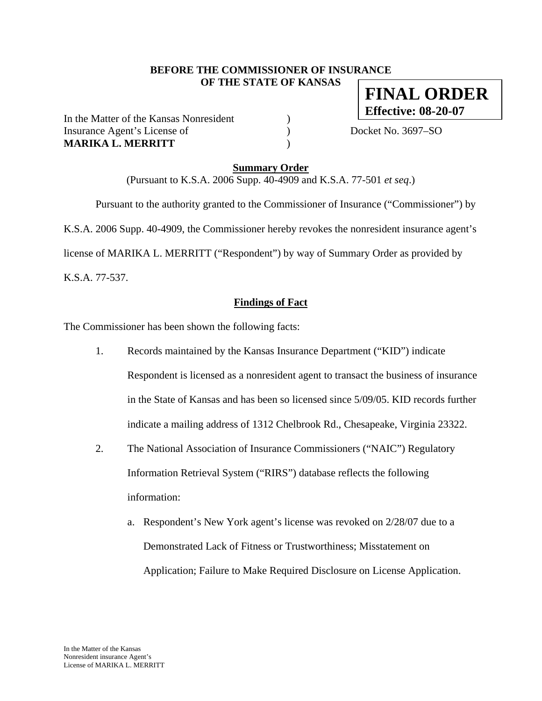### **BEFORE THE COMMISSIONER OF INSURANCE OF THE STATE OF KANSAS**

In the Matter of the Kansas Nonresident ) Insurance Agent's License of  $Docket No. 3697–SO$ **MARIKA L. MERRITT** )

**FINAL ORDER Effective: 08-20-07**

**Summary Order**

(Pursuant to K.S.A. 2006 Supp. 40-4909 and K.S.A. 77-501 *et seq*.)

 Pursuant to the authority granted to the Commissioner of Insurance ("Commissioner") by K.S.A. 2006 Supp. 40-4909, the Commissioner hereby revokes the nonresident insurance agent's license of MARIKA L. MERRITT ("Respondent") by way of Summary Order as provided by K.S.A. 77-537.

## **Findings of Fact**

The Commissioner has been shown the following facts:

- 1. Records maintained by the Kansas Insurance Department ("KID") indicate Respondent is licensed as a nonresident agent to transact the business of insurance in the State of Kansas and has been so licensed since 5/09/05. KID records further indicate a mailing address of 1312 Chelbrook Rd., Chesapeake, Virginia 23322.
- 2. The National Association of Insurance Commissioners ("NAIC") Regulatory Information Retrieval System ("RIRS") database reflects the following information:
	- a. Respondent's New York agent's license was revoked on 2/28/07 due to a Demonstrated Lack of Fitness or Trustworthiness; Misstatement on Application; Failure to Make Required Disclosure on License Application.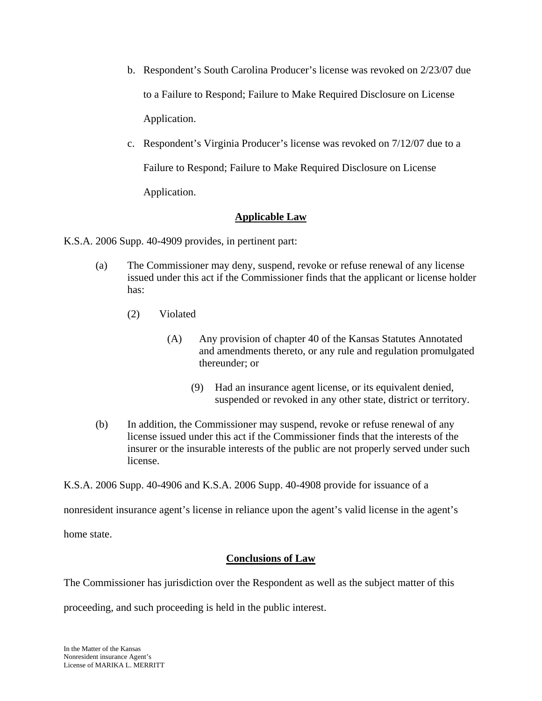- b. Respondent's South Carolina Producer's license was revoked on 2/23/07 due to a Failure to Respond; Failure to Make Required Disclosure on License Application.
- c. Respondent's Virginia Producer's license was revoked on 7/12/07 due to a Failure to Respond; Failure to Make Required Disclosure on License Application.

# **Applicable Law**

K.S.A. 2006 Supp. 40-4909 provides, in pertinent part:

- (a) The Commissioner may deny, suspend, revoke or refuse renewal of any license issued under this act if the Commissioner finds that the applicant or license holder has:
	- (2) Violated
		- (A) Any provision of chapter 40 of the Kansas Statutes Annotated and amendments thereto, or any rule and regulation promulgated thereunder; or
			- (9) Had an insurance agent license, or its equivalent denied, suspended or revoked in any other state, district or territory.
- (b) In addition, the Commissioner may suspend, revoke or refuse renewal of any license issued under this act if the Commissioner finds that the interests of the insurer or the insurable interests of the public are not properly served under such license.

K.S.A. 2006 Supp. 40-4906 and K.S.A. 2006 Supp. 40-4908 provide for issuance of a

nonresident insurance agent's license in reliance upon the agent's valid license in the agent's

home state.

## **Conclusions of Law**

The Commissioner has jurisdiction over the Respondent as well as the subject matter of this

proceeding, and such proceeding is held in the public interest.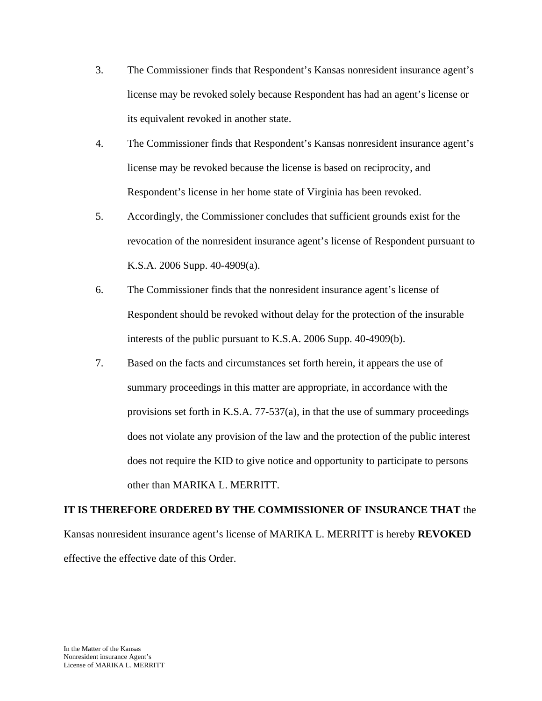- 3. The Commissioner finds that Respondent's Kansas nonresident insurance agent's license may be revoked solely because Respondent has had an agent's license or its equivalent revoked in another state.
- 4. The Commissioner finds that Respondent's Kansas nonresident insurance agent's license may be revoked because the license is based on reciprocity, and Respondent's license in her home state of Virginia has been revoked.
- 5. Accordingly, the Commissioner concludes that sufficient grounds exist for the revocation of the nonresident insurance agent's license of Respondent pursuant to K.S.A. 2006 Supp. 40-4909(a).
- 6. The Commissioner finds that the nonresident insurance agent's license of Respondent should be revoked without delay for the protection of the insurable interests of the public pursuant to K.S.A. 2006 Supp. 40-4909(b).
- 7. Based on the facts and circumstances set forth herein, it appears the use of summary proceedings in this matter are appropriate, in accordance with the provisions set forth in K.S.A. 77-537(a), in that the use of summary proceedings does not violate any provision of the law and the protection of the public interest does not require the KID to give notice and opportunity to participate to persons other than MARIKA L. MERRITT.

# **IT IS THEREFORE ORDERED BY THE COMMISSIONER OF INSURANCE THAT** the Kansas nonresident insurance agent's license of MARIKA L. MERRITT is hereby **REVOKED**  effective the effective date of this Order.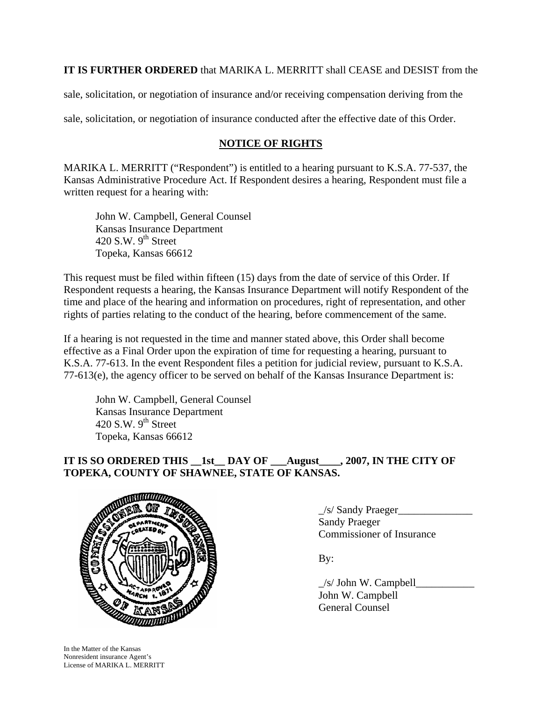**IT IS FURTHER ORDERED** that MARIKA L. MERRITT shall CEASE and DESIST from the

sale, solicitation, or negotiation of insurance and/or receiving compensation deriving from the

sale, solicitation, or negotiation of insurance conducted after the effective date of this Order.

## **NOTICE OF RIGHTS**

MARIKA L. MERRITT ("Respondent") is entitled to a hearing pursuant to K.S.A. 77-537, the Kansas Administrative Procedure Act. If Respondent desires a hearing, Respondent must file a written request for a hearing with:

 John W. Campbell, General Counsel Kansas Insurance Department 420 S.W.  $9^{th}$  Street Topeka, Kansas 66612

This request must be filed within fifteen (15) days from the date of service of this Order. If Respondent requests a hearing, the Kansas Insurance Department will notify Respondent of the time and place of the hearing and information on procedures, right of representation, and other rights of parties relating to the conduct of the hearing, before commencement of the same.

If a hearing is not requested in the time and manner stated above, this Order shall become effective as a Final Order upon the expiration of time for requesting a hearing, pursuant to K.S.A. 77-613. In the event Respondent files a petition for judicial review, pursuant to K.S.A. 77-613(e), the agency officer to be served on behalf of the Kansas Insurance Department is:

 John W. Campbell, General Counsel Kansas Insurance Department 420 S.W.  $9<sup>th</sup>$  Street Topeka, Kansas 66612

### **IT IS SO ORDERED THIS \_\_1st\_\_ DAY OF \_\_\_August\_\_\_\_, 2007, IN THE CITY OF TOPEKA, COUNTY OF SHAWNEE, STATE OF KANSAS.**



 $\angle$ s/ Sandy Praeger $\angle$ Sandy Praeger Commissioner of Insurance

 $\angle$ s/ John W. Campbell $\Box$  John W. Campbell General Counsel

In the Matter of the Kansas Nonresident insurance Agent's License of MARIKA L. MERRITT